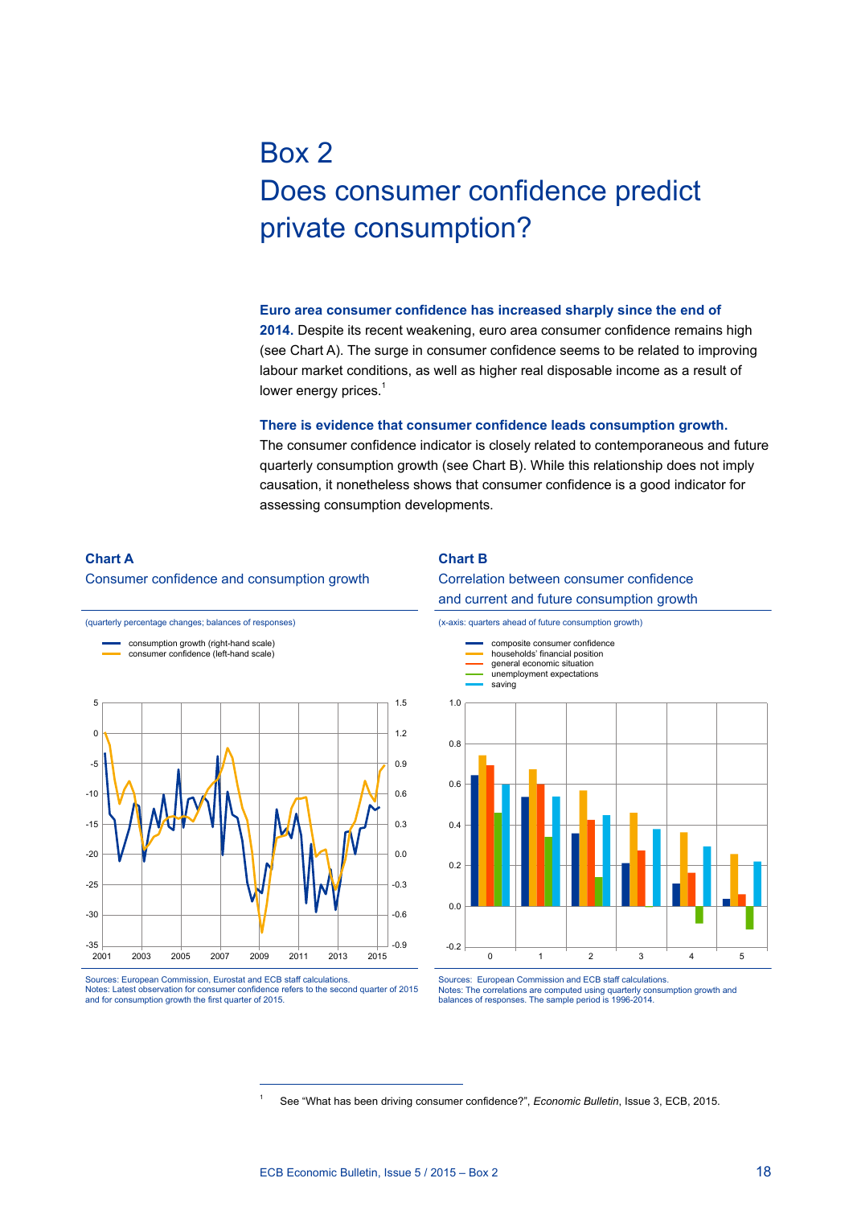# Box 2 Does consumer confidence predict private consumption?

**Euro area consumer confidence has increased sharply since the end of 2014.** Despite its recent weakening, euro area consumer confidence remains high (see Chart A). The surge in consumer confidence seems to be related to improving labour market conditions, as well as higher real disposable income as a result of lower energy prices.<sup>1</sup>

**There is evidence that consumer confidence leads consumption growth.**  The consumer confidence indicator is closely related to contemporaneous and future quarterly consumption growth (see Chart B). While this relationship does not imply causation, it nonetheless shows that consumer confidence is a good indicator for assessing consumption developments.

### **Chart A**

#### Consumer confidence and consumption growth

(quarterly percentage changes; balances of responses)

#### **Chart B**

#### Correlation between consumer confidence and current and future consumption growth

 $-35$   $-2001$ -30 -25 -20  $-15$ -10 -5  $\overline{0}$ 5 -0.9 -0.6 -0.3 0.0 0.3 0.6 0.9 1.2 1.5 2001 2003 2005 2007 2009 2011 2013 2015 consumption growth (right-hand scale) consumer confidence (left-hand scale)

Sources: European Commission, Eurostat and ECB staff calculations. Notes: Latest observation for consumer confidence refers to the second quarter of 2015 and for consumption growth the first quarter of 2015.

(x-axis: quarters ahead of future consumption growth)



Sources: European Commission and ECB staff calculations. Notes: The correlations are computed using quarterly consumption growth and balances of responses. The sample period is 1996-2014.

<sup>1</sup> See "What has been driving consumer confidence?", *Economic Bulletin*, Issue 3, ECB, 2015.